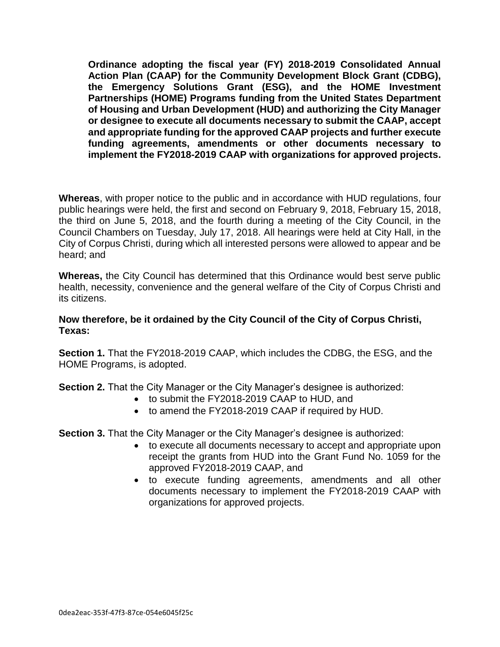**Ordinance adopting the fiscal year (FY) 2018-2019 Consolidated Annual Action Plan (CAAP) for the Community Development Block Grant (CDBG), the Emergency Solutions Grant (ESG), and the HOME Investment Partnerships (HOME) Programs funding from the United States Department of Housing and Urban Development (HUD) and authorizing the City Manager or designee to execute all documents necessary to submit the CAAP, accept and appropriate funding for the approved CAAP projects and further execute funding agreements, amendments or other documents necessary to implement the FY2018-2019 CAAP with organizations for approved projects.**

**Whereas**, with proper notice to the public and in accordance with HUD regulations, four public hearings were held, the first and second on February 9, 2018, February 15, 2018, the third on June 5, 2018, and the fourth during a meeting of the City Council, in the Council Chambers on Tuesday, July 17, 2018. All hearings were held at City Hall, in the City of Corpus Christi, during which all interested persons were allowed to appear and be heard; and

**Whereas,** the City Council has determined that this Ordinance would best serve public health, necessity, convenience and the general welfare of the City of Corpus Christi and its citizens.

## **Now therefore, be it ordained by the City Council of the City of Corpus Christi, Texas:**

**Section 1.** That the FY2018-2019 CAAP, which includes the CDBG, the ESG, and the HOME Programs, is adopted.

**Section 2.** That the City Manager or the City Manager's designee is authorized:

- to submit the FY2018-2019 CAAP to HUD, and
- to amend the FY2018-2019 CAAP if required by HUD.

**Section 3.** That the City Manager or the City Manager's designee is authorized:

- to execute all documents necessary to accept and appropriate upon receipt the grants from HUD into the Grant Fund No. 1059 for the approved FY2018-2019 CAAP, and
- to execute funding agreements, amendments and all other documents necessary to implement the FY2018-2019 CAAP with organizations for approved projects.